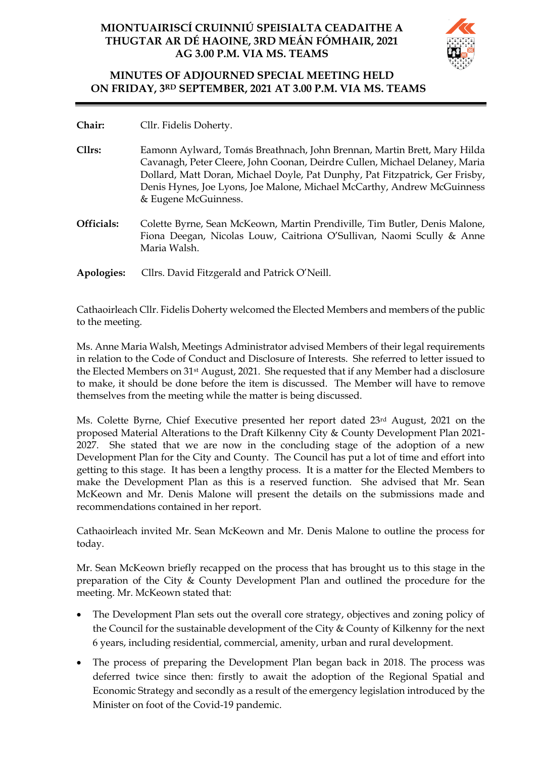# **MIONTUAIRISCÍ CRUINNIÚ SPEISIALTA CEADAITHE A THUGTAR AR DÉ HAOINE, 3RD MEÁN FÓMHAIR, 2021 AG 3.00 P.M. VIA MS. TEAMS**



# **MINUTES OF ADJOURNED SPECIAL MEETING HELD ON FRIDAY, 3RD SEPTEMBER, 2021 AT 3.00 P.M. VIA MS. TEAMS**

- **Chair:** Cllr. Fidelis Doherty.
- **Cllrs:** Eamonn Aylward, Tomás Breathnach, John Brennan, Martin Brett, Mary Hilda Cavanagh, Peter Cleere, John Coonan, Deirdre Cullen, Michael Delaney, Maria Dollard, Matt Doran, Michael Doyle, Pat Dunphy, Pat Fitzpatrick, Ger Frisby, Denis Hynes, Joe Lyons, Joe Malone, Michael McCarthy, Andrew McGuinness & Eugene McGuinness.
- **Officials:** Colette Byrne, Sean McKeown, Martin Prendiville, Tim Butler, Denis Malone, Fiona Deegan, Nicolas Louw, Caitriona O'Sullivan, Naomi Scully & Anne Maria Walsh.
- **Apologies:** Cllrs. David Fitzgerald and Patrick O'Neill.

Cathaoirleach Cllr. Fidelis Doherty welcomed the Elected Members and members of the public to the meeting.

Ms. Anne Maria Walsh, Meetings Administrator advised Members of their legal requirements in relation to the Code of Conduct and Disclosure of Interests. She referred to letter issued to the Elected Members on 31st August, 2021. She requested that if any Member had a disclosure to make, it should be done before the item is discussed. The Member will have to remove themselves from the meeting while the matter is being discussed.

Ms. Colette Byrne, Chief Executive presented her report dated 23rd August, 2021 on the proposed Material Alterations to the Draft Kilkenny City & County Development Plan 2021- 2027. She stated that we are now in the concluding stage of the adoption of a new Development Plan for the City and County. The Council has put a lot of time and effort into getting to this stage. It has been a lengthy process. It is a matter for the Elected Members to make the Development Plan as this is a reserved function. She advised that Mr. Sean McKeown and Mr. Denis Malone will present the details on the submissions made and recommendations contained in her report.

Cathaoirleach invited Mr. Sean McKeown and Mr. Denis Malone to outline the process for today.

Mr. Sean McKeown briefly recapped on the process that has brought us to this stage in the preparation of the City & County Development Plan and outlined the procedure for the meeting. Mr. McKeown stated that:

- The Development Plan sets out the overall core strategy, objectives and zoning policy of the Council for the sustainable development of the City & County of Kilkenny for the next 6 years, including residential, commercial, amenity, urban and rural development.
- The process of preparing the Development Plan began back in 2018. The process was deferred twice since then: firstly to await the adoption of the Regional Spatial and Economic Strategy and secondly as a result of the emergency legislation introduced by the Minister on foot of the Covid-19 pandemic.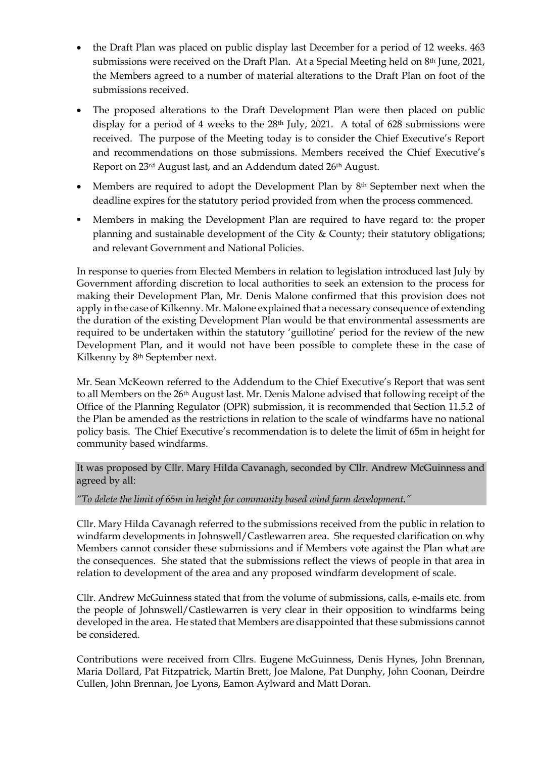- the Draft Plan was placed on public display last December for a period of 12 weeks. 463 submissions were received on the Draft Plan. At a Special Meeting held on 8<sup>th</sup> June, 2021, the Members agreed to a number of material alterations to the Draft Plan on foot of the submissions received.
- The proposed alterations to the Draft Development Plan were then placed on public display for a period of 4 weeks to the  $28<sup>th</sup>$  July, 2021. A total of 628 submissions were received. The purpose of the Meeting today is to consider the Chief Executive's Report and recommendations on those submissions. Members received the Chief Executive's Report on 23rd August last, and an Addendum dated 26th August.
- Members are required to adopt the Development Plan by 8<sup>th</sup> September next when the deadline expires for the statutory period provided from when the process commenced.
- Members in making the Development Plan are required to have regard to: the proper planning and sustainable development of the City & County; their statutory obligations; and relevant Government and National Policies.

In response to queries from Elected Members in relation to legislation introduced last July by Government affording discretion to local authorities to seek an extension to the process for making their Development Plan, Mr. Denis Malone confirmed that this provision does not apply in the case of Kilkenny. Mr. Malone explained that a necessary consequence of extending the duration of the existing Development Plan would be that environmental assessments are required to be undertaken within the statutory 'guillotine' period for the review of the new Development Plan, and it would not have been possible to complete these in the case of Kilkenny by 8th September next.

Mr. Sean McKeown referred to the Addendum to the Chief Executive's Report that was sent to all Members on the 26th August last. Mr. Denis Malone advised that following receipt of the Office of the Planning Regulator (OPR) submission, it is recommended that Section 11.5.2 of the Plan be amended as the restrictions in relation to the scale of windfarms have no national policy basis. The Chief Executive's recommendation is to delete the limit of 65m in height for community based windfarms.

It was proposed by Cllr. Mary Hilda Cavanagh, seconded by Cllr. Andrew McGuinness and agreed by all:

*"To delete the limit of 65m in height for community based wind farm development."*

Cllr. Mary Hilda Cavanagh referred to the submissions received from the public in relation to windfarm developments in Johnswell/Castlewarren area. She requested clarification on why Members cannot consider these submissions and if Members vote against the Plan what are the consequences. She stated that the submissions reflect the views of people in that area in relation to development of the area and any proposed windfarm development of scale.

Cllr. Andrew McGuinness stated that from the volume of submissions, calls, e-mails etc. from the people of Johnswell/Castlewarren is very clear in their opposition to windfarms being developed in the area. He stated that Members are disappointed that these submissions cannot be considered.

Contributions were received from Cllrs. Eugene McGuinness, Denis Hynes, John Brennan, Maria Dollard, Pat Fitzpatrick, Martin Brett, Joe Malone, Pat Dunphy, John Coonan, Deirdre Cullen, John Brennan, Joe Lyons, Eamon Aylward and Matt Doran.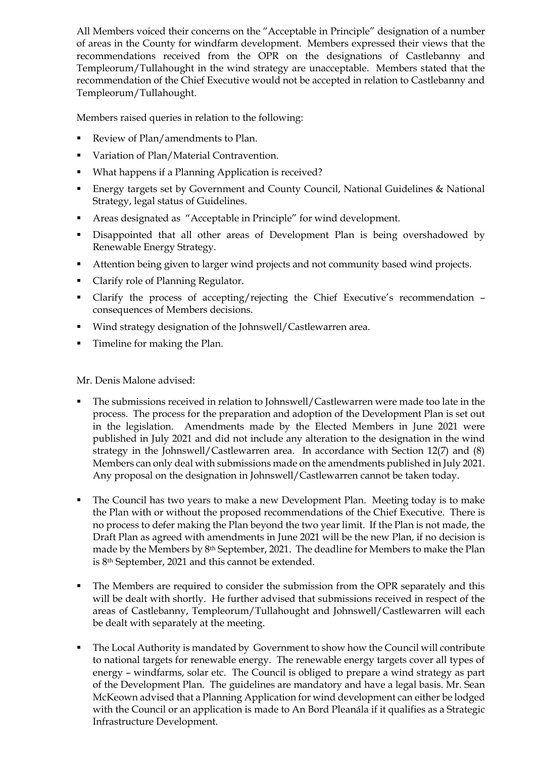All Members voiced their concerns on the "Acceptable in Principle" designation of a number of areas in the County for windfarm development. Members expressed their views that the recommendations received from the OPR on the designations of Castlebanny and Templeorum/Tullahought in the wind strategy are unacceptable. Members stated that the recommendation of the Chief Executive would not be accepted in relation to Castlebanny and Templeorum/Tullahought.

Members raised queries in relation to the following:

- Review of Plan/amendments to Plan.
- Variation of Plan/Material Contravention.
- What happens if a Planning Application is received?
- Energy targets set by Government and County Council, National Guidelines & National Strategy, legal status of Guidelines.
- Areas designated as "Acceptable in Principle" for wind development.
- **•** Disappointed that all other areas of Development Plan is being overshadowed by Renewable Energy Strategy.
- Attention being given to larger wind projects and not community based wind projects.
- Clarify role of Planning Regulator.
- Clarify the process of accepting/rejecting the Chief Executive's recommendation consequences of Members decisions.
- Wind strategy designation of the Johnswell/Castlewarren area.
- **•** Timeline for making the Plan.

Mr. Denis Malone advised:

- The submissions received in relation to Johnswell/Castlewarren were made too late in the process. The process for the preparation and adoption of the Development Plan is set out in the legislation. Amendments made by the Elected Members in June 2021 were published in July 2021 and did not include any alteration to the designation in the wind strategy in the Johnswell/Castlewarren area. In accordance with Section 12(7) and (8) Members can only deal with submissions made on the amendments published in July 2021. Any proposal on the designation in Johnswell/Castlewarren cannot be taken today.
- The Council has two years to make a new Development Plan. Meeting today is to make the Plan with or without the proposed recommendations of the Chief Executive. There is no process to defer making the Plan beyond the two year limit. If the Plan is not made, the Draft Plan as agreed with amendments in June 2021 will be the new Plan, if no decision is made by the Members by 8th September, 2021. The deadline for Members to make the Plan is 8th September, 2021 and this cannot be extended.
- The Members are required to consider the submission from the OPR separately and this will be dealt with shortly. He further advised that submissions received in respect of the areas of Castlebanny, Templeorum/Tullahought and Johnswell/Castlewarren will each be dealt with separately at the meeting.
- The Local Authority is mandated by Government to show how the Council will contribute to national targets for renewable energy. The renewable energy targets cover all types of energy – windfarms, solar etc. The Council is obliged to prepare a wind strategy as part of the Development Plan. The guidelines are mandatory and have a legal basis. Mr. Sean McKeown advised that a Planning Application for wind development can either be lodged with the Council or an application is made to An Bord Pleanála if it qualifies as a Strategic Infrastructure Development.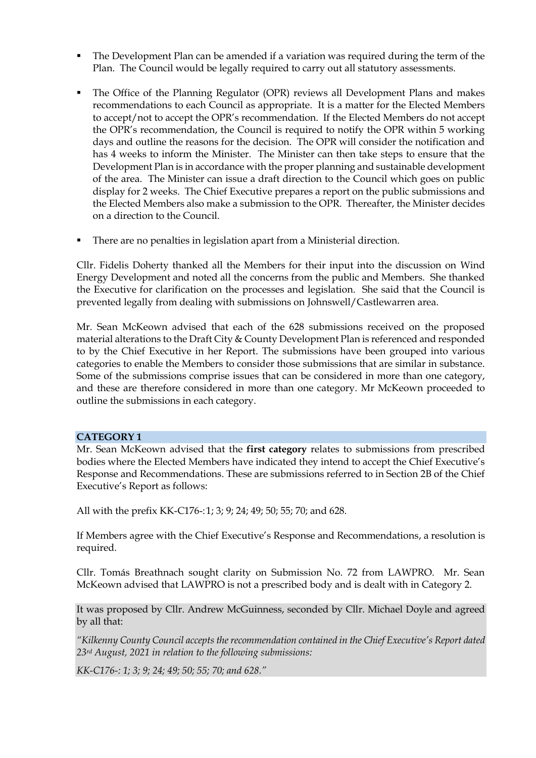- The Development Plan can be amended if a variation was required during the term of the Plan. The Council would be legally required to carry out all statutory assessments.
- The Office of the Planning Regulator (OPR) reviews all Development Plans and makes recommendations to each Council as appropriate. It is a matter for the Elected Members to accept/not to accept the OPR's recommendation. If the Elected Members do not accept the OPR's recommendation, the Council is required to notify the OPR within 5 working days and outline the reasons for the decision. The OPR will consider the notification and has 4 weeks to inform the Minister. The Minister can then take steps to ensure that the Development Plan is in accordance with the proper planning and sustainable development of the area. The Minister can issue a draft direction to the Council which goes on public display for 2 weeks. The Chief Executive prepares a report on the public submissions and the Elected Members also make a submission to the OPR. Thereafter, the Minister decides on a direction to the Council.
- There are no penalties in legislation apart from a Ministerial direction.

Cllr. Fidelis Doherty thanked all the Members for their input into the discussion on Wind Energy Development and noted all the concerns from the public and Members. She thanked the Executive for clarification on the processes and legislation. She said that the Council is prevented legally from dealing with submissions on Johnswell/Castlewarren area.

Mr. Sean McKeown advised that each of the 628 submissions received on the proposed material alterations to the Draft City & County Development Plan is referenced and responded to by the Chief Executive in her Report. The submissions have been grouped into various categories to enable the Members to consider those submissions that are similar in substance. Some of the submissions comprise issues that can be considered in more than one category, and these are therefore considered in more than one category. Mr McKeown proceeded to outline the submissions in each category.

### **CATEGORY 1**

Mr. Sean McKeown advised that the **first category** relates to submissions from prescribed bodies where the Elected Members have indicated they intend to accept the Chief Executive's Response and Recommendations. These are submissions referred to in Section 2B of the Chief Executive's Report as follows:

All with the prefix KK-C176-:1; 3; 9; 24; 49; 50; 55; 70; and 628.

If Members agree with the Chief Executive's Response and Recommendations, a resolution is required.

Cllr. Tomás Breathnach sought clarity on Submission No. 72 from LAWPRO. Mr. Sean McKeown advised that LAWPRO is not a prescribed body and is dealt with in Category 2.

It was proposed by Cllr. Andrew McGuinness, seconded by Cllr. Michael Doyle and agreed by all that:

*"Kilkenny County Council accepts the recommendation contained in the Chief Executive's Report dated 23rd August, 2021 in relation to the following submissions:*

*KK-C176-: 1; 3; 9; 24; 49; 50; 55; 70; and 628."*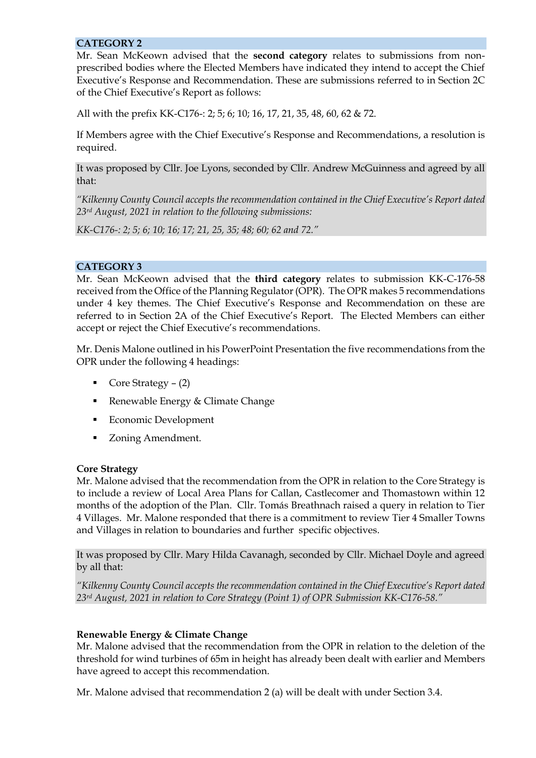### **CATEGORY 2**

Mr. Sean McKeown advised that the **second category** relates to submissions from nonprescribed bodies where the Elected Members have indicated they intend to accept the Chief Executive's Response and Recommendation. These are submissions referred to in Section 2C of the Chief Executive's Report as follows:

All with the prefix KK-C176-: 2; 5; 6; 10; 16, 17, 21, 35, 48, 60, 62 & 72.

If Members agree with the Chief Executive's Response and Recommendations, a resolution is required.

It was proposed by Cllr. Joe Lyons, seconded by Cllr. Andrew McGuinness and agreed by all that:

*"Kilkenny County Council accepts the recommendation contained in the Chief Executive's Report dated 23rd August, 2021 in relation to the following submissions:*

*KK-C176-: 2; 5; 6; 10; 16; 17; 21, 25, 35; 48; 60; 62 and 72."*

# **CATEGORY 3**

Mr. Sean McKeown advised that the **third category** relates to submission KK-C-176-58 received from the Office of the Planning Regulator (OPR). The OPR makes 5 recommendations under 4 key themes. The Chief Executive's Response and Recommendation on these are referred to in Section 2A of the Chief Executive's Report. The Elected Members can either accept or reject the Chief Executive's recommendations.

Mr. Denis Malone outlined in his PowerPoint Presentation the five recommendations from the OPR under the following 4 headings:

- Core Strategy (2)
- Renewable Energy & Climate Change
- Economic Development
- Zoning Amendment.

### **Core Strategy**

Mr. Malone advised that the recommendation from the OPR in relation to the Core Strategy is to include a review of Local Area Plans for Callan, Castlecomer and Thomastown within 12 months of the adoption of the Plan. Cllr. Tomás Breathnach raised a query in relation to Tier 4 Villages. Mr. Malone responded that there is a commitment to review Tier 4 Smaller Towns and Villages in relation to boundaries and further specific objectives.

It was proposed by Cllr. Mary Hilda Cavanagh, seconded by Cllr. Michael Doyle and agreed by all that:

*"Kilkenny County Council accepts the recommendation contained in the Chief Executive's Report dated 23rd August, 2021 in relation to Core Strategy (Point 1) of OPR Submission KK-C176-58."*

### **Renewable Energy & Climate Change**

Mr. Malone advised that the recommendation from the OPR in relation to the deletion of the threshold for wind turbines of 65m in height has already been dealt with earlier and Members have agreed to accept this recommendation.

Mr. Malone advised that recommendation 2 (a) will be dealt with under Section 3.4.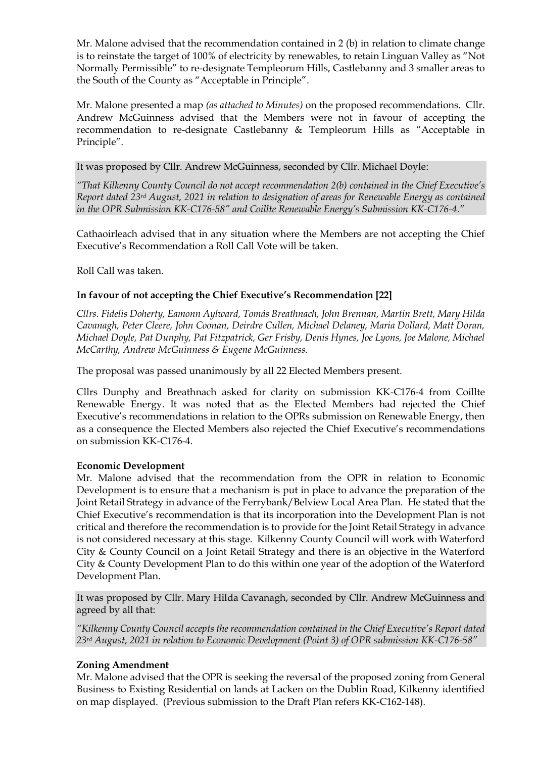Mr. Malone advised that the recommendation contained in 2 (b) in relation to climate change is to reinstate the target of 100% of electricity by renewables, to retain Linguan Valley as "Not Normally Permissible" to re-designate Templeorum Hills, Castlebanny and 3 smaller areas to the South of the County as "Acceptable in Principle".

Mr. Malone presented a map *(as attached to Minutes)* on the proposed recommendations. Cllr. Andrew McGuinness advised that the Members were not in favour of accepting the recommendation to re-designate Castlebanny & Templeorum Hills as "Acceptable in Principle".

It was proposed by Cllr. Andrew McGuinness, seconded by Cllr. Michael Doyle:

*"That Kilkenny County Council do not accept recommendation 2(b) contained in the Chief Executive's Report dated 23rd August, 2021 in relation to designation of areas for Renewable Energy as contained in the OPR Submission KK-C176-58" and Coillte Renewable Energy's Submission KK-C176-4."*

Cathaoirleach advised that in any situation where the Members are not accepting the Chief Executive's Recommendation a Roll Call Vote will be taken.

Roll Call was taken.

# **In favour of not accepting the Chief Executive's Recommendation [22]**

*Cllrs. Fidelis Doherty, Eamonn Aylward, Tomás Breathnach, John Brennan, Martin Brett, Mary Hilda Cavanagh, Peter Cleere, John Coonan, Deirdre Cullen, Michael Delaney, Maria Dollard, Matt Doran, Michael Doyle, Pat Dunphy, Pat Fitzpatrick, Ger Frisby, Denis Hynes, Joe Lyons, Joe Malone, Michael McCarthy, Andrew McGuinness & Eugene McGuinness.*

The proposal was passed unanimously by all 22 Elected Members present.

Cllrs Dunphy and Breathnach asked for clarity on submission KK-C176-4 from Coillte Renewable Energy. It was noted that as the Elected Members had rejected the Chief Executive's recommendations in relation to the OPRs submission on Renewable Energy, then as a consequence the Elected Members also rejected the Chief Executive's recommendations on submission KK-C176-4.

### **Economic Development**

Mr. Malone advised that the recommendation from the OPR in relation to Economic Development is to ensure that a mechanism is put in place to advance the preparation of the Joint Retail Strategy in advance of the Ferrybank/Belview Local Area Plan. He stated that the Chief Executive's recommendation is that its incorporation into the Development Plan is not critical and therefore the recommendation is to provide for the Joint Retail Strategy in advance is not considered necessary at this stage. Kilkenny County Council will work with Waterford City & County Council on a Joint Retail Strategy and there is an objective in the Waterford City & County Development Plan to do this within one year of the adoption of the Waterford Development Plan.

It was proposed by Cllr. Mary Hilda Cavanagh, seconded by Cllr. Andrew McGuinness and agreed by all that:

*"Kilkenny County Council accepts the recommendation contained in the Chief Executive's Report dated 23rd August, 2021 in relation to Economic Development (Point 3) of OPR submission KK-C176-58"*

### **Zoning Amendment**

Mr. Malone advised that the OPR is seeking the reversal of the proposed zoning from General Business to Existing Residential on lands at Lacken on the Dublin Road, Kilkenny identified on map displayed. (Previous submission to the Draft Plan refers KK-C162-148).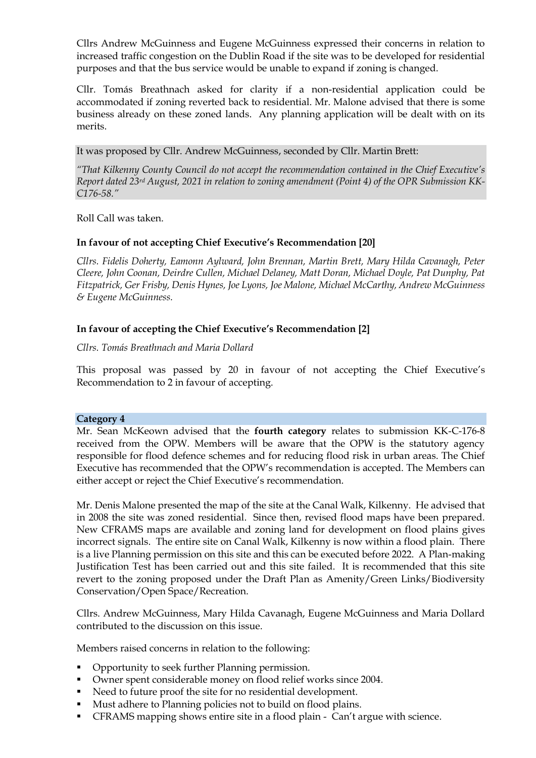Cllrs Andrew McGuinness and Eugene McGuinness expressed their concerns in relation to increased traffic congestion on the Dublin Road if the site was to be developed for residential purposes and that the bus service would be unable to expand if zoning is changed.

Cllr. Tomás Breathnach asked for clarity if a non-residential application could be accommodated if zoning reverted back to residential. Mr. Malone advised that there is some business already on these zoned lands. Any planning application will be dealt with on its merits.

It was proposed by Cllr. Andrew McGuinness, seconded by Cllr. Martin Brett:

*"That Kilkenny County Council do not accept the recommendation contained in the Chief Executive's Report dated 23rd August, 2021 in relation to zoning amendment (Point 4) of the OPR Submission KK-C176-58."*

Roll Call was taken.

### **In favour of not accepting Chief Executive's Recommendation [20]**

*Cllrs. Fidelis Doherty, Eamonn Aylward, John Brennan, Martin Brett, Mary Hilda Cavanagh, Peter Cleere, John Coonan, Deirdre Cullen, Michael Delaney, Matt Doran, Michael Doyle, Pat Dunphy, Pat Fitzpatrick, Ger Frisby, Denis Hynes, Joe Lyons, Joe Malone, Michael McCarthy, Andrew McGuinness & Eugene McGuinness.*

#### **In favour of accepting the Chief Executive's Recommendation [2]**

*Cllrs. Tomás Breathnach and Maria Dollard* 

This proposal was passed by 20 in favour of not accepting the Chief Executive's Recommendation to 2 in favour of accepting.

#### **Category 4**

Mr. Sean McKeown advised that the **fourth category** relates to submission KK-C-176-8 received from the OPW. Members will be aware that the OPW is the statutory agency responsible for flood defence schemes and for reducing flood risk in urban areas. The Chief Executive has recommended that the OPW's recommendation is accepted. The Members can either accept or reject the Chief Executive's recommendation.

Mr. Denis Malone presented the map of the site at the Canal Walk, Kilkenny. He advised that in 2008 the site was zoned residential. Since then, revised flood maps have been prepared. New CFRAMS maps are available and zoning land for development on flood plains gives incorrect signals. The entire site on Canal Walk, Kilkenny is now within a flood plain. There is a live Planning permission on this site and this can be executed before 2022. A Plan-making Justification Test has been carried out and this site failed. It is recommended that this site revert to the zoning proposed under the Draft Plan as Amenity/Green Links/Biodiversity Conservation/Open Space/Recreation.

Cllrs. Andrew McGuinness, Mary Hilda Cavanagh, Eugene McGuinness and Maria Dollard contributed to the discussion on this issue.

Members raised concerns in relation to the following:

- Opportunity to seek further Planning permission.
- Owner spent considerable money on flood relief works since 2004.
- Need to future proof the site for no residential development.
- Must adhere to Planning policies not to build on flood plains.
- CFRAMS mapping shows entire site in a flood plain Can't argue with science.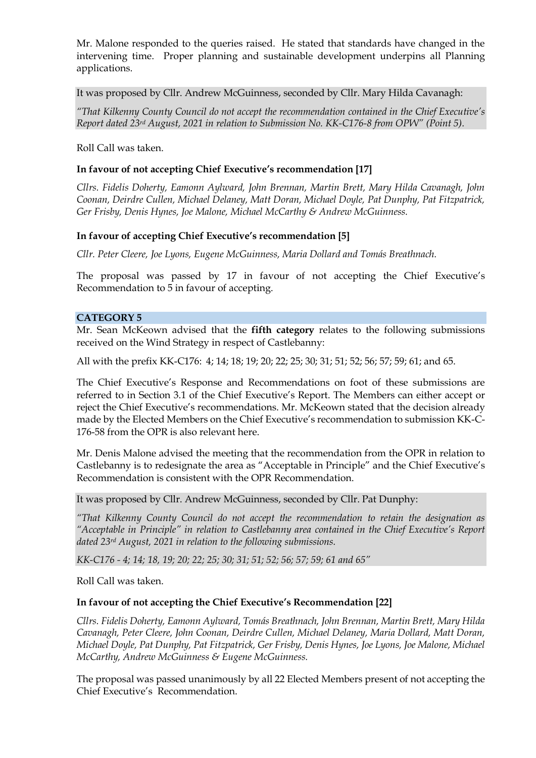Mr. Malone responded to the queries raised. He stated that standards have changed in the intervening time. Proper planning and sustainable development underpins all Planning applications.

It was proposed by Cllr. Andrew McGuinness, seconded by Cllr. Mary Hilda Cavanagh:

*"That Kilkenny County Council do not accept the recommendation contained in the Chief Executive's Report dated 23rd August, 2021 in relation to Submission No. KK-C176-8 from OPW" (Point 5).*

Roll Call was taken.

### **In favour of not accepting Chief Executive's recommendation [17]**

*Cllrs. Fidelis Doherty, Eamonn Aylward, John Brennan, Martin Brett, Mary Hilda Cavanagh, John Coonan, Deirdre Cullen, Michael Delaney, Matt Doran, Michael Doyle, Pat Dunphy, Pat Fitzpatrick, Ger Frisby, Denis Hynes, Joe Malone, Michael McCarthy & Andrew McGuinness.*

### **In favour of accepting Chief Executive's recommendation [5]**

*Cllr. Peter Cleere, Joe Lyons, Eugene McGuinness, Maria Dollard and Tomás Breathnach.*

The proposal was passed by 17 in favour of not accepting the Chief Executive's Recommendation to 5 in favour of accepting.

### **CATEGORY 5**

Mr. Sean McKeown advised that the **fifth category** relates to the following submissions received on the Wind Strategy in respect of Castlebanny:

All with the prefix KK-C176: 4; 14; 18; 19; 20; 22; 25; 30; 31; 51; 52; 56; 57; 59; 61; and 65.

The Chief Executive's Response and Recommendations on foot of these submissions are referred to in Section 3.1 of the Chief Executive's Report. The Members can either accept or reject the Chief Executive's recommendations. Mr. McKeown stated that the decision already made by the Elected Members on the Chief Executive's recommendation to submission KK-C-176-58 from the OPR is also relevant here.

Mr. Denis Malone advised the meeting that the recommendation from the OPR in relation to Castlebanny is to redesignate the area as "Acceptable in Principle" and the Chief Executive's Recommendation is consistent with the OPR Recommendation.

It was proposed by Cllr. Andrew McGuinness, seconded by Cllr. Pat Dunphy:

*"That Kilkenny County Council do not accept the recommendation to retain the designation as "Acceptable in Principle" in relation to Castlebanny area contained in the Chief Executive's Report dated 23rd August, 2021 in relation to the following submissions.*

*KK-C176 - 4; 14; 18, 19; 20; 22; 25; 30; 31; 51; 52; 56; 57; 59; 61 and 65"*

Roll Call was taken.

### **In favour of not accepting the Chief Executive's Recommendation [22]**

*Cllrs. Fidelis Doherty, Eamonn Aylward, Tomás Breathnach, John Brennan, Martin Brett, Mary Hilda Cavanagh, Peter Cleere, John Coonan, Deirdre Cullen, Michael Delaney, Maria Dollard, Matt Doran, Michael Doyle, Pat Dunphy, Pat Fitzpatrick, Ger Frisby, Denis Hynes, Joe Lyons, Joe Malone, Michael McCarthy, Andrew McGuinness & Eugene McGuinness.*

The proposal was passed unanimously by all 22 Elected Members present of not accepting the Chief Executive's Recommendation.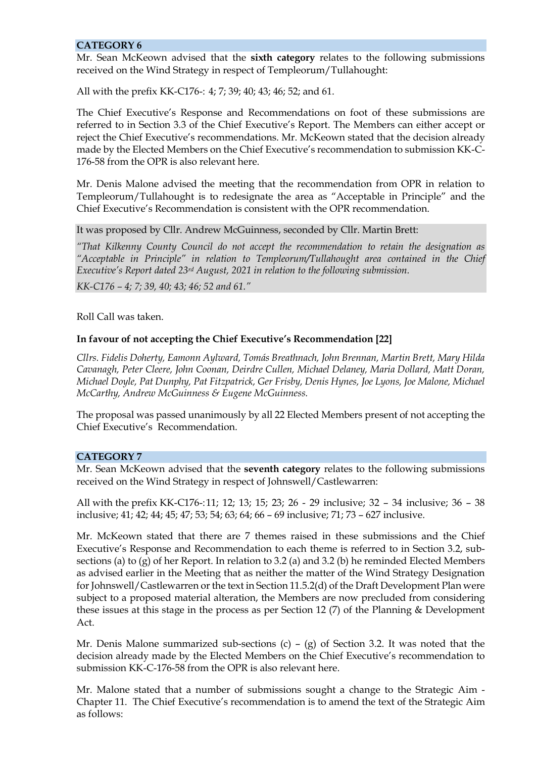#### **CATEGORY 6**

Mr. Sean McKeown advised that the **sixth category** relates to the following submissions received on the Wind Strategy in respect of Templeorum/Tullahought:

All with the prefix KK-C176-: 4; 7; 39; 40; 43; 46; 52; and 61.

The Chief Executive's Response and Recommendations on foot of these submissions are referred to in Section 3.3 of the Chief Executive's Report. The Members can either accept or reject the Chief Executive's recommendations. Mr. McKeown stated that the decision already made by the Elected Members on the Chief Executive's recommendation to submission KK-C-176-58 from the OPR is also relevant here.

Mr. Denis Malone advised the meeting that the recommendation from OPR in relation to Templeorum/Tullahought is to redesignate the area as "Acceptable in Principle" and the Chief Executive's Recommendation is consistent with the OPR recommendation.

It was proposed by Cllr. Andrew McGuinness, seconded by Cllr. Martin Brett:

*"That Kilkenny County Council do not accept the recommendation to retain the designation as "Acceptable in Principle" in relation to Templeorum/Tullahought area contained in the Chief Executive's Report dated 23rd August, 2021 in relation to the following submission.*

*KK-C176 – 4; 7; 39, 40; 43; 46; 52 and 61."*

Roll Call was taken.

### **In favour of not accepting the Chief Executive's Recommendation [22]**

*Cllrs. Fidelis Doherty, Eamonn Aylward, Tomás Breathnach, John Brennan, Martin Brett, Mary Hilda Cavanagh, Peter Cleere, John Coonan, Deirdre Cullen, Michael Delaney, Maria Dollard, Matt Doran, Michael Doyle, Pat Dunphy, Pat Fitzpatrick, Ger Frisby, Denis Hynes, Joe Lyons, Joe Malone, Michael McCarthy, Andrew McGuinness & Eugene McGuinness.*

The proposal was passed unanimously by all 22 Elected Members present of not accepting the Chief Executive's Recommendation.

### **CATEGORY 7**

Mr. Sean McKeown advised that the **seventh category** relates to the following submissions received on the Wind Strategy in respect of Johnswell/Castlewarren:

All with the prefix KK-C176-:11; 12; 13; 15; 23; 26 - 29 inclusive; 32 – 34 inclusive; 36 – 38 inclusive; 41; 42; 44; 45; 47; 53; 54; 63; 64; 66 – 69 inclusive; 71; 73 – 627 inclusive.

Mr. McKeown stated that there are 7 themes raised in these submissions and the Chief Executive's Response and Recommendation to each theme is referred to in Section 3.2, subsections (a) to (g) of her Report. In relation to 3.2 (a) and 3.2 (b) he reminded Elected Members as advised earlier in the Meeting that as neither the matter of the Wind Strategy Designation for Johnswell/Castlewarren or the text in Section 11.5.2(d) of the Draft Development Plan were subject to a proposed material alteration, the Members are now precluded from considering these issues at this stage in the process as per Section 12 (7) of the Planning & Development Act.

Mr. Denis Malone summarized sub-sections  $(c) - (g)$  of Section 3.2. It was noted that the decision already made by the Elected Members on the Chief Executive's recommendation to submission KK-C-176-58 from the OPR is also relevant here.

Mr. Malone stated that a number of submissions sought a change to the Strategic Aim - Chapter 11. The Chief Executive's recommendation is to amend the text of the Strategic Aim as follows: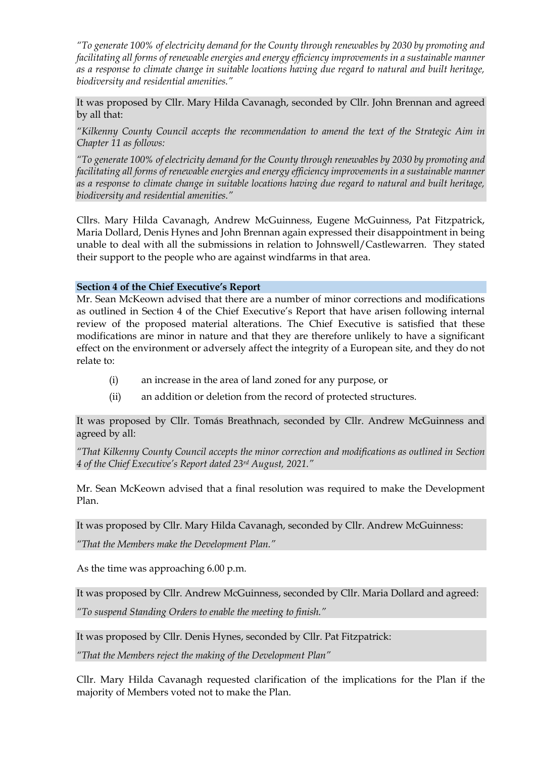*"To generate 100% of electricity demand for the County through renewables by 2030 by promoting and facilitating all forms of renewable energies and energy efficiency improvements in a sustainable manner as a response to climate change in suitable locations having due regard to natural and built heritage, biodiversity and residential amenities."*

It was proposed by Cllr. Mary Hilda Cavanagh, seconded by Cllr. John Brennan and agreed by all that:

*"Kilkenny County Council accepts the recommendation to amend the text of the Strategic Aim in Chapter 11 as follows:*

*"To generate 100% of electricity demand for the County through renewables by 2030 by promoting and*  facilitating all forms of renewable energies and energy efficiency improvements in a sustainable manner *as a response to climate change in suitable locations having due regard to natural and built heritage, biodiversity and residential amenities."*

Cllrs. Mary Hilda Cavanagh, Andrew McGuinness, Eugene McGuinness, Pat Fitzpatrick, Maria Dollard, Denis Hynes and John Brennan again expressed their disappointment in being unable to deal with all the submissions in relation to Johnswell/Castlewarren. They stated their support to the people who are against windfarms in that area.

**Section 4 of the Chief Executive's Report**

Mr. Sean McKeown advised that there are a number of minor corrections and modifications as outlined in Section 4 of the Chief Executive's Report that have arisen following internal review of the proposed material alterations. The Chief Executive is satisfied that these modifications are minor in nature and that they are therefore unlikely to have a significant effect on the environment or adversely affect the integrity of a European site, and they do not relate to:

- (i) an increase in the area of land zoned for any purpose, or
- (ii) an addition or deletion from the record of protected structures.

It was proposed by Cllr. Tomás Breathnach, seconded by Cllr. Andrew McGuinness and agreed by all:

*"That Kilkenny County Council accepts the minor correction and modifications as outlined in Section 4 of the Chief Executive's Report dated 23rd August, 2021."*

Mr. Sean McKeown advised that a final resolution was required to make the Development Plan.

It was proposed by Cllr. Mary Hilda Cavanagh, seconded by Cllr. Andrew McGuinness:

*"That the Members make the Development Plan."*

As the time was approaching 6.00 p.m.

It was proposed by Cllr. Andrew McGuinness, seconded by Cllr. Maria Dollard and agreed:

*"To suspend Standing Orders to enable the meeting to finish."*

It was proposed by Cllr. Denis Hynes, seconded by Cllr. Pat Fitzpatrick:

*"That the Members reject the making of the Development Plan"*

Cllr. Mary Hilda Cavanagh requested clarification of the implications for the Plan if the majority of Members voted not to make the Plan.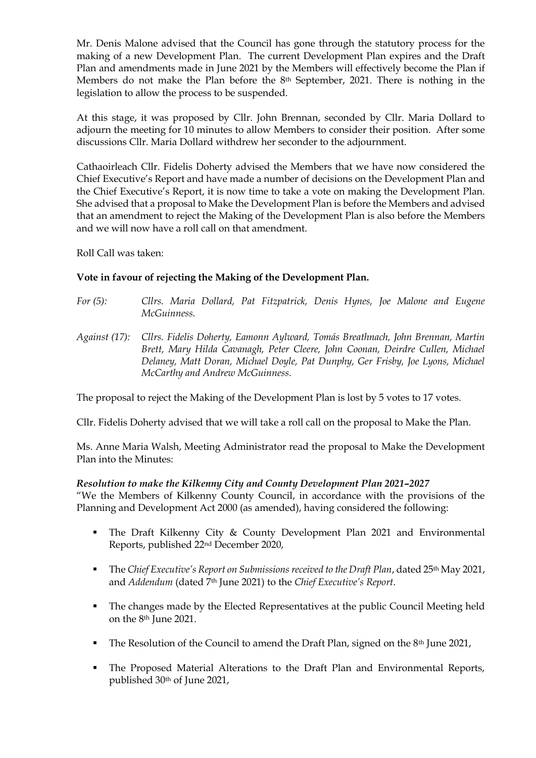Mr. Denis Malone advised that the Council has gone through the statutory process for the making of a new Development Plan. The current Development Plan expires and the Draft Plan and amendments made in June 2021 by the Members will effectively become the Plan if Members do not make the Plan before the 8th September, 2021. There is nothing in the legislation to allow the process to be suspended.

At this stage, it was proposed by Cllr. John Brennan, seconded by Cllr. Maria Dollard to adjourn the meeting for 10 minutes to allow Members to consider their position. After some discussions Cllr. Maria Dollard withdrew her seconder to the adjournment.

Cathaoirleach Cllr. Fidelis Doherty advised the Members that we have now considered the Chief Executive's Report and have made a number of decisions on the Development Plan and the Chief Executive's Report, it is now time to take a vote on making the Development Plan. She advised that a proposal to Make the Development Plan is before the Members and advised that an amendment to reject the Making of the Development Plan is also before the Members and we will now have a roll call on that amendment.

Roll Call was taken:

### **Vote in favour of rejecting the Making of the Development Plan.**

- *For (5): Cllrs. Maria Dollard, Pat Fitzpatrick, Denis Hynes, Joe Malone and Eugene McGuinness.*
- *Against (17): Cllrs. Fidelis Doherty, Eamonn Aylward, Tomás Breathnach, John Brennan, Martin Brett, Mary Hilda Cavanagh, Peter Cleere, John Coonan, Deirdre Cullen, Michael Delaney, Matt Doran, Michael Doyle, Pat Dunphy, Ger Frisby, Joe Lyons, Michael McCarthy and Andrew McGuinness.*

The proposal to reject the Making of the Development Plan is lost by 5 votes to 17 votes.

Cllr. Fidelis Doherty advised that we will take a roll call on the proposal to Make the Plan.

Ms. Anne Maria Walsh, Meeting Administrator read the proposal to Make the Development Plan into the Minutes:

### *Resolution to make the Kilkenny City and County Development Plan 2021–2027*

"We the Members of Kilkenny County Council, in accordance with the provisions of the Planning and Development Act 2000 (as amended), having considered the following:

- The Draft Kilkenny City & County Development Plan 2021 and Environmental Reports, published 22nd December 2020,
- The *Chief Executive's Report on Submissions received to the Draft Plan*, dated 25<sup>th</sup> May 2021, and *Addendum* (dated 7th June 2021) to the *Chief Executive's Report*.
- The changes made by the Elected Representatives at the public Council Meeting held on the 8th June 2021.
- The Resolution of the Council to amend the Draft Plan, signed on the 8<sup>th</sup> June 2021,
- The Proposed Material Alterations to the Draft Plan and Environmental Reports, published 30th of June 2021,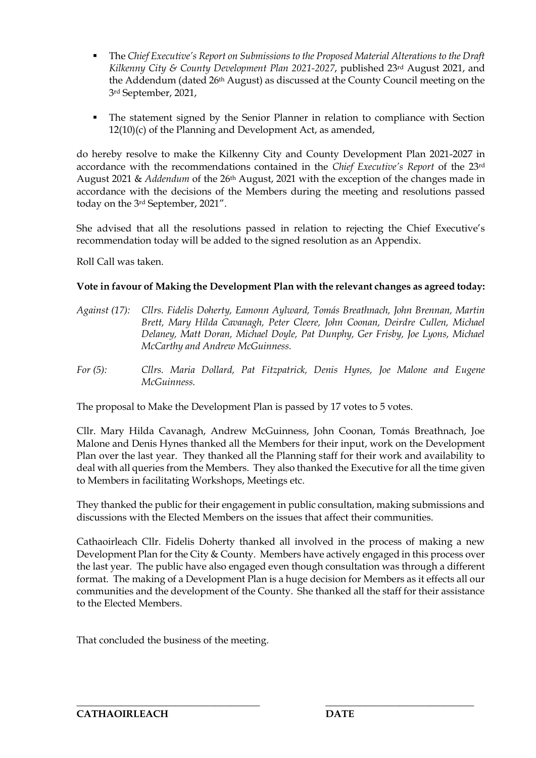- The *Chief Executive's Report on Submissions to the Proposed Material Alterations to the Draft Kilkenny City & County Development Plan 2021-2027*, published 23rd August 2021, and the Addendum (dated 26th August) as discussed at the County Council meeting on the 3rd September, 2021,
- The statement signed by the Senior Planner in relation to compliance with Section 12(10)(c) of the Planning and Development Act, as amended,

do hereby resolve to make the Kilkenny City and County Development Plan 2021-2027 in accordance with the recommendations contained in the *Chief Executive's Report* of the 23rd August 2021 & *Addendum* of the 26th August, 2021 with the exception of the changes made in accordance with the decisions of the Members during the meeting and resolutions passed today on the 3rd September, 2021".

She advised that all the resolutions passed in relation to rejecting the Chief Executive's recommendation today will be added to the signed resolution as an Appendix.

Roll Call was taken.

# **Vote in favour of Making the Development Plan with the relevant changes as agreed today:**

- *Against (17): Cllrs. Fidelis Doherty, Eamonn Aylward, Tomás Breathnach, John Brennan, Martin Brett, Mary Hilda Cavanagh, Peter Cleere, John Coonan, Deirdre Cullen, Michael Delaney, Matt Doran, Michael Doyle, Pat Dunphy, Ger Frisby, Joe Lyons, Michael McCarthy and Andrew McGuinness.*
- *For (5): Cllrs. Maria Dollard, Pat Fitzpatrick, Denis Hynes, Joe Malone and Eugene McGuinness.*

The proposal to Make the Development Plan is passed by 17 votes to 5 votes.

Cllr. Mary Hilda Cavanagh, Andrew McGuinness, John Coonan, Tomás Breathnach, Joe Malone and Denis Hynes thanked all the Members for their input, work on the Development Plan over the last year. They thanked all the Planning staff for their work and availability to deal with all queries from the Members. They also thanked the Executive for all the time given to Members in facilitating Workshops, Meetings etc.

They thanked the public for their engagement in public consultation, making submissions and discussions with the Elected Members on the issues that affect their communities.

Cathaoirleach Cllr. Fidelis Doherty thanked all involved in the process of making a new Development Plan for the City & County. Members have actively engaged in this process over the last year. The public have also engaged even though consultation was through a different format. The making of a Development Plan is a huge decision for Members as it effects all our communities and the development of the County. She thanked all the staff for their assistance to the Elected Members.

\_\_\_\_\_\_\_\_\_\_\_\_\_\_\_\_\_\_\_\_\_\_\_\_\_\_\_\_\_\_\_\_\_\_\_\_\_ \_\_\_\_\_\_\_\_\_\_\_\_\_\_\_\_\_\_\_\_\_\_\_\_\_\_\_\_\_\_

That concluded the business of the meeting.